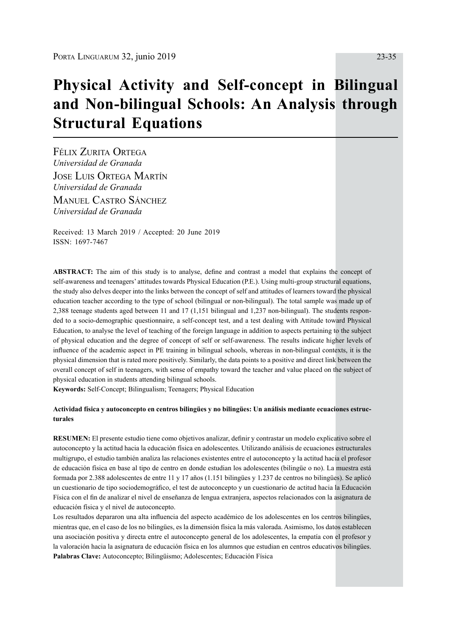# **Physical Activity and Self-concept in Bilingual and Non-bilingual Schools: An Analysis through Structural Equations**

Félix Zurita Ortega *Universidad de Granada* Jose Luis Ortega Martín *Universidad de Granada* **MANUEL CASTRO SÁNCHEZ** *Universidad de Granada*

Received: 13 March 2019 / Accepted: 20 June 2019 ISSN: 1697-7467

**ABSTRACT:** The aim of this study is to analyse, define and contrast a model that explains the concept of self-awareness and teenagers' attitudes towards Physical Education (P.E.). Using multi-group structural equations, the study also delves deeper into the links between the concept of self and attitudes of learners toward the physical education teacher according to the type of school (bilingual or non-bilingual). The total sample was made up of 2,388 teenage students aged between 11 and 17 (1,151 bilingual and 1,237 non-bilingual). The students responded to a socio-demographic questionnaire, a self-concept test, and a test dealing with Attitude toward Physical Education, to analyse the level of teaching of the foreign language in addition to aspects pertaining to the subject of physical education and the degree of concept of self or self-awareness. The results indicate higher levels of influence of the academic aspect in PE training in bilingual schools, whereas in non-bilingual contexts, it is the physical dimension that is rated more positively. Similarly, the data points to a positive and direct link between the overall concept of self in teenagers, with sense of empathy toward the teacher and value placed on the subject of physical education in students attending bilingual schools.

**Keywords:** Self-Concept; Bilingualism; Teenagers; Physical Education

#### **Actividad física y autoconcepto en centros bilingües y no bilingües: Un análisis mediante ecuaciones estructurales**

**RESUMEN:** El presente estudio tiene como objetivos analizar, definir y contrastar un modelo explicativo sobre el autoconcepto y la actitud hacia la educación física en adolescentes. Utilizando análisis de ecuaciones estructurales multigrupo, el estudio también analiza las relaciones existentes entre el autoconcepto y la actitud hacia el profesor de educación física en base al tipo de centro en donde estudian los adolescentes (bilingüe o no). La muestra está formada por 2.388 adolescentes de entre 11 y 17 años (1.151 bilingües y 1.237 de centros no bilingües). Se aplicó un cuestionario de tipo sociodemográfico, el test de autoconcepto y un cuestionario de actitud hacia la Educación Física con el fin de analizar el nivel de enseñanza de lengua extranjera, aspectos relacionados con la asignatura de educación física y el nivel de autoconcepto.

Los resultados depararon una alta influencia del aspecto académico de los adolescentes en los centros bilingües, mientras que, en el caso de los no bilingües, es la dimensión física la más valorada. Asimismo, los datos establecen una asociación positiva y directa entre el autoconcepto general de los adolescentes, la empatía con el profesor y la valoración hacia la asignatura de educación física en los alumnos que estudian en centros educativos bilingües. **Palabras Clave:** Autoconcepto; Bilingüismo; Adolescentes; Educación Física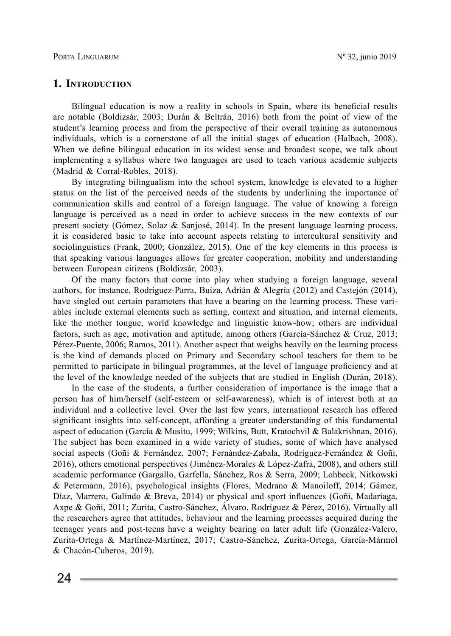## **1. Introduction**

Bilingual education is now a reality in schools in Spain, where its beneficial results are notable (Boldizsár, 2003; Durán & Beltrán, 2016) both from the point of view of the student's learning process and from the perspective of their overall training as autonomous individuals, which is a cornerstone of all the initial stages of education (Halbach, 2008). When we define bilingual education in its widest sense and broadest scope, we talk about implementing a syllabus where two languages are used to teach various academic subjects (Madrid & Corral-Robles, 2018).

By integrating bilingualism into the school system, knowledge is elevated to a higher status on the list of the perceived needs of the students by underlining the importance of communication skills and control of a foreign language. The value of knowing a foreign language is perceived as a need in order to achieve success in the new contexts of our present society (Gómez, Solaz & Sanjosé, 2014). In the present language learning process, it is considered basic to take into account aspects relating to intercultural sensitivity and sociolinguistics (Frank, 2000; González, 2015). One of the key elements in this process is that speaking various languages allows for greater cooperation, mobility and understanding between European citizens (Boldizsár, 2003).

Of the many factors that come into play when studying a foreign language, several authors, for instance, Rodríguez-Parra, Buiza, Adrián & Alegría (2012) and Castejón (2014), have singled out certain parameters that have a bearing on the learning process. These variables include external elements such as setting, context and situation, and internal elements, like the mother tongue, world knowledge and linguistic know-how; others are individual factors, such as age, motivation and aptitude, among others (García-Sánchez & Cruz, 2013; Pérez-Puente, 2006; Ramos, 2011). Another aspect that weighs heavily on the learning process is the kind of demands placed on Primary and Secondary school teachers for them to be permitted to participate in bilingual programmes, at the level of language proficiency and at the level of the knowledge needed of the subjects that are studied in English (Durán, 2018).

In the case of the students, a further consideration of importance is the image that a person has of him/herself (self-esteem or self-awareness), which is of interest both at an individual and a collective level. Over the last few years, international research has offered significant insights into self-concept, affording a greater understanding of this fundamental aspect of education (García & Musitu, 1999; Wilkins, Butt, Kratochvil & Balakrishnan, 2016). The subject has been examined in a wide variety of studies, some of which have analysed social aspects (Goñi & Fernández, 2007; Fernández-Zabala, Rodríguez-Fernández & Goñi, 2016), others emotional perspectives (Jiménez-Morales & López-Zafra, 2008), and others still academic performance (Gargallo, Garfella, Sánchez, Ros & Serra, 2009; Lohbeck, Nitkowski & Petermann, 2016), psychological insights (Flores, Medrano & Manoiloff, 2014; Gámez, Díaz, Marrero, Galindo & Breva, 2014) or physical and sport influences (Goñi, Madariaga, Axpe & Goñi, 2011; Zurita, Castro-Sánchez, Álvaro, Rodríguez & Pérez, 2016). Virtually all the researchers agree that attitudes, behaviour and the learning processes acquired during the teenager years and post-teens have a weighty bearing on later adult life (González-Valero, Zurita-Ortega & Martínez-Martínez, 2017; Castro-Sánchez, Zurita-Ortega, García-Mármol & Chacón-Cuberos, 2019).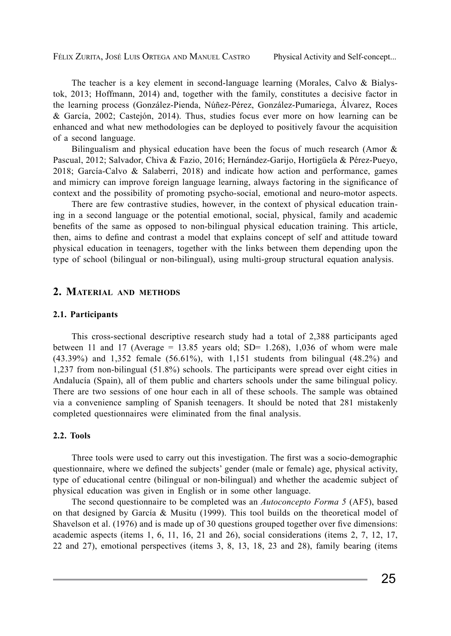FÉLIX ZURITA, JOSÉ LUIS ORTEGA AND MANUEL CASTRO Physical Activity and Self-concept...

The teacher is a key element in second-language learning (Morales, Calvo & Bialystok, 2013; Hoffmann, 2014) and, together with the family, constitutes a decisive factor in the learning process (González-Pienda, Núñez-Pérez, González-Pumariega, Álvarez, Roces & García, 2002; Castejón, 2014). Thus, studies focus ever more on how learning can be enhanced and what new methodologies can be deployed to positively favour the acquisition of a second language.

Bilingualism and physical education have been the focus of much research (Amor  $\&$ Pascual, 2012; Salvador, Chiva & Fazio, 2016; Hernández-Garijo, Hortigüela & Pérez-Pueyo, 2018; García-Calvo & Salaberri, 2018) and indicate how action and performance, games and mimicry can improve foreign language learning, always factoring in the significance of context and the possibility of promoting psycho-social, emotional and neuro-motor aspects.

There are few contrastive studies, however, in the context of physical education training in a second language or the potential emotional, social, physical, family and academic benefits of the same as opposed to non-bilingual physical education training. This article, then, aims to define and contrast a model that explains concept of self and attitude toward physical education in teenagers, together with the links between them depending upon the type of school (bilingual or non-bilingual), using multi-group structural equation analysis.

## **2. Material and methods**

#### **2.1. Participants**

This cross-sectional descriptive research study had a total of 2,388 participants aged between 11 and 17 (Average = 13.85 years old; SD= 1.268), 1,036 of whom were male (43.39%) and 1,352 female (56.61%), with 1,151 students from bilingual (48.2%) and 1,237 from non-bilingual (51.8%) schools. The participants were spread over eight cities in Andalucía (Spain), all of them public and charters schools under the same bilingual policy. There are two sessions of one hour each in all of these schools. The sample was obtained via a convenience sampling of Spanish teenagers. It should be noted that 281 mistakenly completed questionnaires were eliminated from the final analysis.

## **2.2. Tools**

Three tools were used to carry out this investigation. The first was a socio-demographic questionnaire, where we defined the subjects' gender (male or female) age, physical activity, type of educational centre (bilingual or non-bilingual) and whether the academic subject of physical education was given in English or in some other language.

The second questionnaire to be completed was an *Autoconcepto Forma 5* (AF5), based on that designed by García & Musitu (1999). This tool builds on the theoretical model of Shavelson et al. (1976) and is made up of 30 questions grouped together over five dimensions: academic aspects (items 1, 6, 11, 16, 21 and 26), social considerations (items 2, 7, 12, 17, 22 and 27), emotional perspectives (items 3, 8, 13, 18, 23 and 28), family bearing (items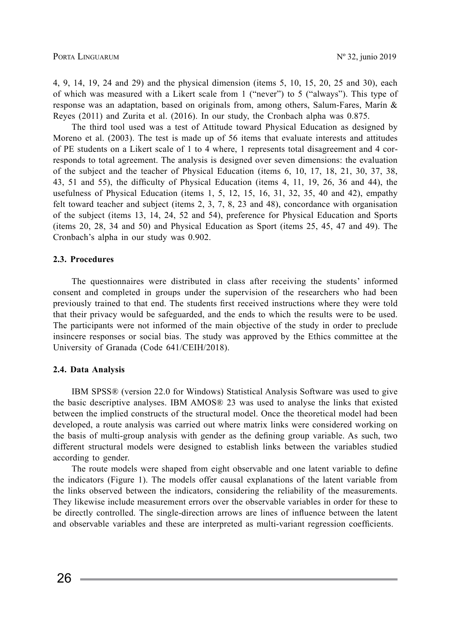4, 9, 14, 19, 24 and 29) and the physical dimension (items 5, 10, 15, 20, 25 and 30), each of which was measured with a Likert scale from 1 ("never") to 5 ("always"). This type of response was an adaptation, based on originals from, among others, Salum-Fares, Marín & Reyes (2011) and Zurita et al. (2016). In our study, the Cronbach alpha was 0.875.

The third tool used was a test of Attitude toward Physical Education as designed by Moreno et al. (2003). The test is made up of 56 items that evaluate interests and attitudes of PE students on a Likert scale of 1 to 4 where, 1 represents total disagreement and 4 corresponds to total agreement. The analysis is designed over seven dimensions: the evaluation of the subject and the teacher of Physical Education (items 6, 10, 17, 18, 21, 30, 37, 38, 43, 51 and 55), the difficulty of Physical Education (items 4, 11, 19, 26, 36 and 44), the usefulness of Physical Education (items  $1, 5, 12, 15, 16, 31, 32, 35, 40$  and  $42$ ), empathy felt toward teacher and subject (items 2, 3, 7, 8, 23 and 48), concordance with organisation of the subject (items 13, 14, 24, 52 and 54), preference for Physical Education and Sports (items 20, 28, 34 and 50) and Physical Education as Sport (items 25, 45, 47 and 49). The Cronbach's alpha in our study was 0.902.

#### **2.3. Procedures**

The questionnaires were distributed in class after receiving the students' informed consent and completed in groups under the supervision of the researchers who had been previously trained to that end. The students first received instructions where they were told that their privacy would be safeguarded, and the ends to which the results were to be used. The participants were not informed of the main objective of the study in order to preclude insincere responses or social bias. The study was approved by the Ethics committee at the University of Granada (Code 641/CEIH/2018).

### **2.4. Data Analysis**

IBM SPSS® (version 22.0 for Windows) Statistical Analysis Software was used to give the basic descriptive analyses. IBM AMOS® 23 was used to analyse the links that existed between the implied constructs of the structural model. Once the theoretical model had been developed, a route analysis was carried out where matrix links were considered working on the basis of multi-group analysis with gender as the defining group variable. As such, two different structural models were designed to establish links between the variables studied according to gender.

The route models were shaped from eight observable and one latent variable to define the indicators (Figure 1). The models offer causal explanations of the latent variable from the links observed between the indicators, considering the reliability of the measurements. They likewise include measurement errors over the observable variables in order for these to be directly controlled. The single-direction arrows are lines of influence between the latent and observable variables and these are interpreted as multi-variant regression coefficients.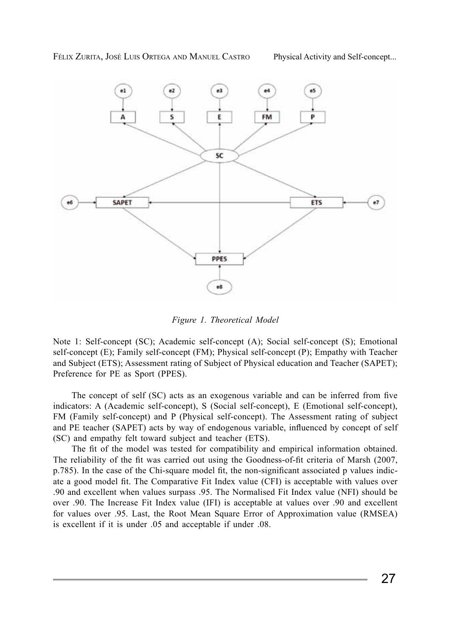

*Figure 1. Theoretical Model*

Note 1: Self-concept (SC); Academic self-concept (A); Social self-concept (S); Emotional self-concept (E); Family self-concept (FM); Physical self-concept (P); Empathy with Teacher and Subject (ETS); Assessment rating of Subject of Physical education and Teacher (SAPET); Preference for PE as Sport (PPES).

The concept of self (SC) acts as an exogenous variable and can be inferred from five indicators: A (Academic self-concept), S (Social self-concept), E (Emotional self-concept), FM (Family self-concept) and P (Physical self-concept). The Assessment rating of subject and PE teacher (SAPET) acts by way of endogenous variable, influenced by concept of self (SC) and empathy felt toward subject and teacher (ETS).

The fit of the model was tested for compatibility and empirical information obtained. The reliability of the fit was carried out using the Goodness-of-fit criteria of Marsh (2007, p.785). In the case of the Chi-square model fit, the non-significant associated p values indicate a good model fit. The Comparative Fit Index value (CFI) is acceptable with values over .90 and excellent when values surpass .95. The Normalised Fit Index value (NFI) should be over .90. The Increase Fit Index value (IFI) is acceptable at values over .90 and excellent for values over .95. Last, the Root Mean Square Error of Approximation value (RMSEA) is excellent if it is under .05 and acceptable if under .08.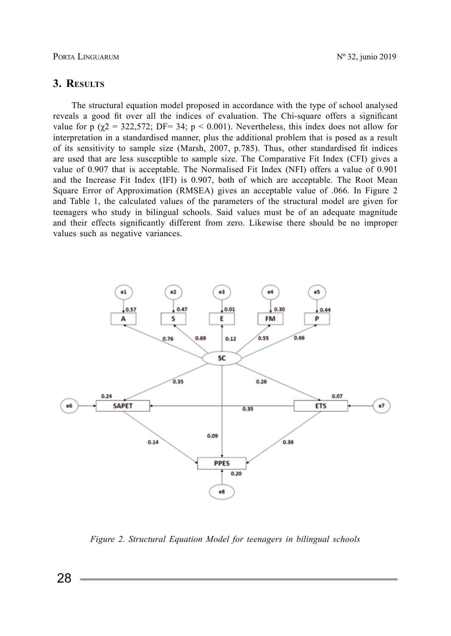Porta Linguarum Nº 32, junio 2019

## **3. Results**

The structural equation model proposed in accordance with the type of school analysed reveals a good fit over all the indices of evaluation. The Chi-square offers a significant value for p  $(\gamma 2 = 322.572; DF = 34; p < 0.001)$ . Nevertheless, this index does not allow for interpretation in a standardised manner, plus the additional problem that is posed as a result of its sensitivity to sample size (Marsh, 2007, p.785). Thus, other standardised fit indices are used that are less susceptible to sample size. The Comparative Fit Index (CFI) gives a value of 0.907 that is acceptable. The Normalised Fit Index (NFI) offers a value of 0.901 and the Increase Fit Index (IFI) is 0.907, both of which are acceptable. The Root Mean Square Error of Approximation (RMSEA) gives an acceptable value of .066. In Figure 2 and Table 1, the calculated values of the parameters of the structural model are given for teenagers who study in bilingual schools. Said values must be of an adequate magnitude and their effects significantly different from zero. Likewise there should be no improper values such as negative variances.



*Figure 2. Structural Equation Model for teenagers in bilingual schools*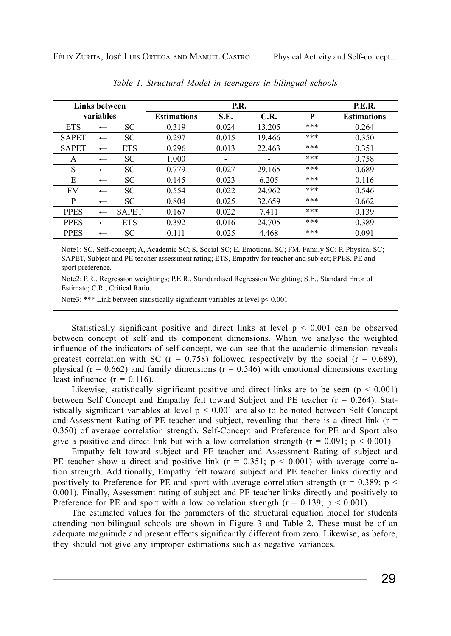|              | Links between |              |                    | P.E.R. |                          |       |                    |
|--------------|---------------|--------------|--------------------|--------|--------------------------|-------|--------------------|
| variables    |               |              | <b>Estimations</b> | S.E.   | C.R.                     | P     | <b>Estimations</b> |
| <b>ETS</b>   | $\leftarrow$  | <b>SC</b>    | 0.319              | 0.024  | 13.205                   | ***   | 0.264              |
| <b>SAPET</b> | $\leftarrow$  | SC           | 0.297              | 0.015  | 19.466                   | ***   | 0.350              |
| <b>SAPET</b> | $\leftarrow$  | <b>ETS</b>   | 0.296              | 0.013  | 22.463                   | ***   | 0.351              |
| A            | $\leftarrow$  | <b>SC</b>    | 1.000              | -      | $\overline{\phantom{0}}$ | $***$ | 0.758              |
| S            | $\leftarrow$  | <b>SC</b>    | 0.779              | 0.027  | 29.165                   | ***   | 0.689              |
| E            | $\leftarrow$  | <b>SC</b>    | 0.145              | 0.023  | 6.205                    | ***   | 0.116              |
| <b>FM</b>    | $\leftarrow$  | <b>SC</b>    | 0.554              | 0.022  | 24.962                   | ***   | 0.546              |
| P            | $\leftarrow$  | SC.          | 0.804              | 0.025  | 32.659                   | $***$ | 0.662              |
| <b>PPES</b>  | $\leftarrow$  | <b>SAPET</b> | 0.167              | 0.022  | 7.411                    | ***   | 0.139              |
| <b>PPES</b>  | $\leftarrow$  | <b>ETS</b>   | 0.392              | 0.016  | 24.705                   | ***   | 0.389              |
| <b>PPES</b>  | $\leftarrow$  | <b>SC</b>    | 0.111              | 0.025  | 4.468                    | ***   | 0.091              |

*Table 1. Structural Model in teenagers in bilingual schools*

Note1: SC, Self-concept; A, Academic SC; S, Social SC; E, Emotional SC; FM, Family SC; P, Physical SC; SAPET, Subject and PE teacher assessment rating; ETS, Empathy for teacher and subject; PPES, PE and sport preference.

Note2: P.R., Regression weightings; P.E.R., Standardised Regression Weighting; S.E., Standard Error of Estimate; C.R., Critical Ratio.

Note3: \*\*\* Link between statistically significant variables at level p< 0.001

Statistically significant positive and direct links at level  $p \le 0.001$  can be observed between concept of self and its component dimensions. When we analyse the weighted influence of the indicators of self-concept, we can see that the academic dimension reveals greatest correlation with SC ( $r = 0.758$ ) followed respectively by the social ( $r = 0.689$ ), physical ( $r = 0.662$ ) and family dimensions ( $r = 0.546$ ) with emotional dimensions exerting least influence  $(r = 0.116)$ .

Likewise, statistically significant positive and direct links are to be seen ( $p < 0.001$ ) between Self Concept and Empathy felt toward Subject and PE teacher (r = 0.264). Statistically significant variables at level  $p < 0.001$  are also to be noted between Self Concept and Assessment Rating of PE teacher and subject, revealing that there is a direct link ( $r =$ 0.350) of average correlation strength. Self-Concept and Preference for PE and Sport also give a positive and direct link but with a low correlation strength ( $r = 0.091$ ;  $p < 0.001$ ).

Empathy felt toward subject and PE teacher and Assessment Rating of subject and PE teacher show a direct and positive link ( $r = 0.351$ ;  $p < 0.001$ ) with average correlation strength. Additionally, Empathy felt toward subject and PE teacher links directly and positively to Preference for PE and sport with average correlation strength ( $r = 0.389$ ; p < 0.001). Finally, Assessment rating of subject and PE teacher links directly and positively to Preference for PE and sport with a low correlation strength ( $r = 0.139$ ;  $p < 0.001$ ).

The estimated values for the parameters of the structural equation model for students attending non-bilingual schools are shown in Figure 3 and Table 2. These must be of an adequate magnitude and present effects significantly different from zero. Likewise, as before, they should not give any improper estimations such as negative variances.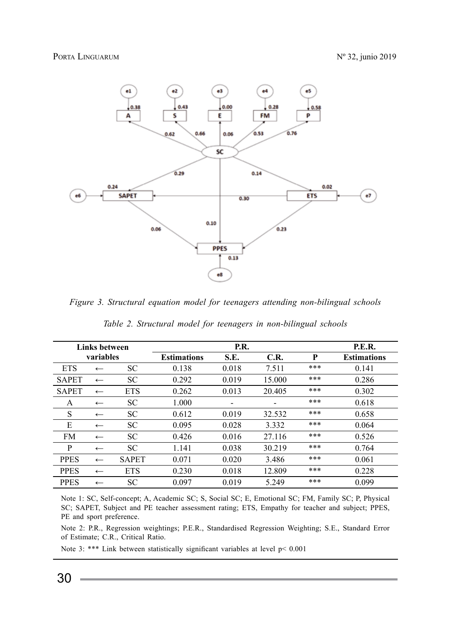

*Figure 3. Structural equation model for teenagers attending non-bilingual schools*

|              | Links between |              |                    | P.E.R.                   |                          |     |                    |
|--------------|---------------|--------------|--------------------|--------------------------|--------------------------|-----|--------------------|
| variables    |               |              | <b>Estimations</b> | S.E.                     | C.R.                     | P   | <b>Estimations</b> |
| <b>ETS</b>   | $\leftarrow$  | <b>SC</b>    | 0.138              | 0.018                    | 7.511                    | *** | 0.141              |
| <b>SAPET</b> | $\leftarrow$  | <b>SC</b>    | 0.292              | 0.019                    | 15.000                   | *** | 0.286              |
| <b>SAPET</b> | $\leftarrow$  | <b>ETS</b>   | 0.262              | 0.013                    | 20.405                   | *** | 0.302              |
| A            | $\leftarrow$  | <b>SC</b>    | 1.000              | $\overline{\phantom{a}}$ | $\overline{\phantom{a}}$ | *** | 0.618              |
| S            | $\leftarrow$  | <b>SC</b>    | 0.612              | 0.019                    | 32.532                   | *** | 0.658              |
| E            | $\leftarrow$  | <b>SC</b>    | 0.095              | 0.028                    | 3.332                    | *** | 0.064              |
| <b>FM</b>    | $\leftarrow$  | SC           | 0.426              | 0.016                    | 27.116                   | *** | 0.526              |
| P            | $\leftarrow$  | <b>SC</b>    | 1.141              | 0.038                    | 30.219                   | *** | 0.764              |
| <b>PPES</b>  | $\leftarrow$  | <b>SAPET</b> | 0.071              | 0.020                    | 3.486                    | *** | 0.061              |
| <b>PPES</b>  | $\leftarrow$  | <b>ETS</b>   | 0.230              | 0.018                    | 12.809                   | *** | 0.228              |
| <b>PPES</b>  | $\leftarrow$  | <b>SC</b>    | 0.097              | 0.019                    | 5.249                    | *** | 0.099              |

*Table 2. Structural model for teenagers in non-bilingual schools*

Note 1: SC, Self-concept; A, Academic SC; S, Social SC; E, Emotional SC; FM, Family SC; P, Physical SC; SAPET, Subject and PE teacher assessment rating; ETS, Empathy for teacher and subject; PPES, PE and sport preference.

Note 2: P.R., Regression weightings; P.E.R., Standardised Regression Weighting; S.E., Standard Error of Estimate; C.R., Critical Ratio.

Note 3: \*\*\* Link between statistically significant variables at level p< 0.001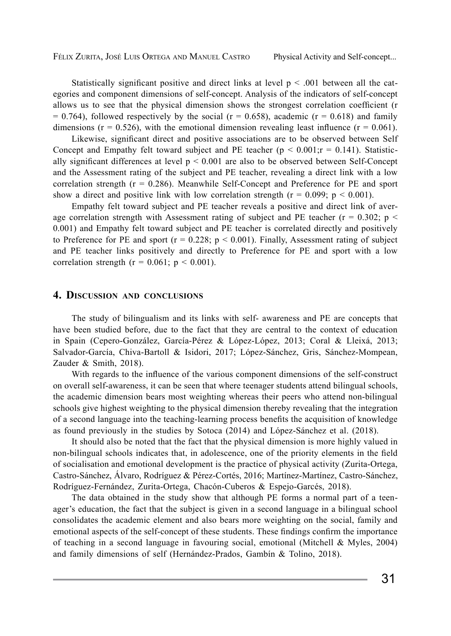Statistically significant positive and direct links at level  $p \leq .001$  between all the categories and component dimensions of self-concept. Analysis of the indicators of self-concept allows us to see that the physical dimension shows the strongest correlation coefficient (r  $= 0.764$ ), followed respectively by the social (r = 0.658), academic (r = 0.618) and family dimensions ( $r = 0.526$ ), with the emotional dimension revealing least influence ( $r = 0.061$ ).

Likewise, significant direct and positive associations are to be observed between Self Concept and Empathy felt toward subject and PE teacher ( $p \le 0.001$ ;  $r = 0.141$ ). Statistically significant differences at level  $p < 0.001$  are also to be observed between Self-Concept and the Assessment rating of the subject and PE teacher, revealing a direct link with a low correlation strength  $(r = 0.286)$ . Meanwhile Self-Concept and Preference for PE and sport show a direct and positive link with low correlation strength ( $r = 0.099$ ;  $p \le 0.001$ ).

Empathy felt toward subject and PE teacher reveals a positive and direct link of average correlation strength with Assessment rating of subject and PE teacher ( $r = 0.302$ ; p < 0.001) and Empathy felt toward subject and PE teacher is correlated directly and positively to Preference for PE and sport ( $r = 0.228$ ;  $p < 0.001$ ). Finally, Assessment rating of subject and PE teacher links positively and directly to Preference for PE and sport with a low correlation strength ( $r = 0.061$ ;  $p \le 0.001$ ).

## **4. Discussion and conclusions**

The study of bilingualism and its links with self- awareness and PE are concepts that have been studied before, due to the fact that they are central to the context of education in Spain (Cepero-González, García-Pérez & López-López, 2013; Coral & Lleixá, 2013; Salvador-García, Chiva-Bartoll & Isidori, 2017; López-Sánchez, Gris, Sánchez-Mompean, Zauder & Smith, 2018).

With regards to the influence of the various component dimensions of the self-construct on overall self-awareness, it can be seen that where teenager students attend bilingual schools, the academic dimension bears most weighting whereas their peers who attend non-bilingual schools give highest weighting to the physical dimension thereby revealing that the integration of a second language into the teaching-learning process benefits the acquisition of knowledge as found previously in the studies by Sotoca (2014) and López-Sánchez et al. (2018).

It should also be noted that the fact that the physical dimension is more highly valued in non-bilingual schools indicates that, in adolescence, one of the priority elements in the field of socialisation and emotional development is the practice of physical activity (Zurita-Ortega, Castro-Sánchez, Álvaro, Rodríguez & Pérez-Cortés, 2016; Martínez-Martínez, Castro-Sánchez, Rodríguez-Fernández, Zurita-Ortega, Chacón-Cuberos & Espejo-Garcés, 2018).

The data obtained in the study show that although PE forms a normal part of a teenager's education, the fact that the subject is given in a second language in a bilingual school consolidates the academic element and also bears more weighting on the social, family and emotional aspects of the self-concept of these students. These findings confirm the importance of teaching in a second language in favouring social, emotional (Mitchell & Myles, 2004) and family dimensions of self (Hernández-Prados, Gambín & Tolino, 2018).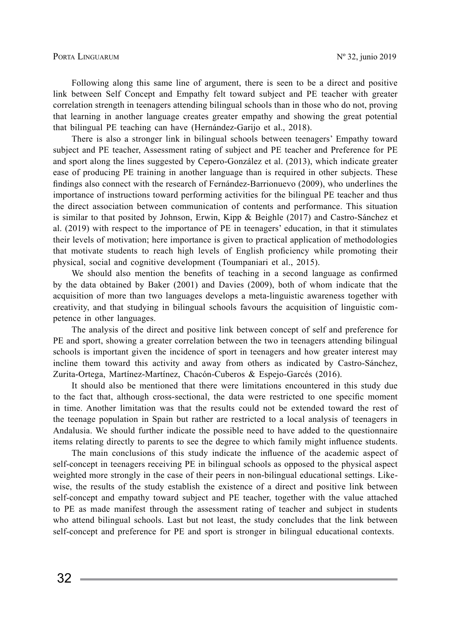Following along this same line of argument, there is seen to be a direct and positive link between Self Concept and Empathy felt toward subject and PE teacher with greater correlation strength in teenagers attending bilingual schools than in those who do not, proving that learning in another language creates greater empathy and showing the great potential that bilingual PE teaching can have (Hernández-Garijo et al., 2018).

There is also a stronger link in bilingual schools between teenagers' Empathy toward subject and PE teacher, Assessment rating of subject and PE teacher and Preference for PE and sport along the lines suggested by Cepero-González et al. (2013), which indicate greater ease of producing PE training in another language than is required in other subjects. These findings also connect with the research of Fernández-Barrionuevo (2009), who underlines the importance of instructions toward performing activities for the bilingual PE teacher and thus the direct association between communication of contents and performance. This situation is similar to that posited by Johnson, Erwin, Kipp & Beighle (2017) and Castro-Sánchez et al. (2019) with respect to the importance of PE in teenagers' education, in that it stimulates their levels of motivation; here importance is given to practical application of methodologies that motivate students to reach high levels of English proficiency while promoting their physical, social and cognitive development (Toumpaniari et al., 2015).

We should also mention the benefits of teaching in a second language as confirmed by the data obtained by Baker (2001) and Davies (2009), both of whom indicate that the acquisition of more than two languages develops a meta-linguistic awareness together with creativity, and that studying in bilingual schools favours the acquisition of linguistic competence in other languages.

The analysis of the direct and positive link between concept of self and preference for PE and sport, showing a greater correlation between the two in teenagers attending bilingual schools is important given the incidence of sport in teenagers and how greater interest may incline them toward this activity and away from others as indicated by Castro-Sánchez, Zurita-Ortega, Martínez-Martínez, Chacón-Cuberos & Espejo-Garcés (2016).

It should also be mentioned that there were limitations encountered in this study due to the fact that, although cross-sectional, the data were restricted to one specific moment in time. Another limitation was that the results could not be extended toward the rest of the teenage population in Spain but rather are restricted to a local analysis of teenagers in Andalusia. We should further indicate the possible need to have added to the questionnaire items relating directly to parents to see the degree to which family might influence students.

The main conclusions of this study indicate the influence of the academic aspect of self-concept in teenagers receiving PE in bilingual schools as opposed to the physical aspect weighted more strongly in the case of their peers in non-bilingual educational settings. Likewise, the results of the study establish the existence of a direct and positive link between self-concept and empathy toward subject and PE teacher, together with the value attached to PE as made manifest through the assessment rating of teacher and subject in students who attend bilingual schools. Last but not least, the study concludes that the link between self-concept and preference for PE and sport is stronger in bilingual educational contexts.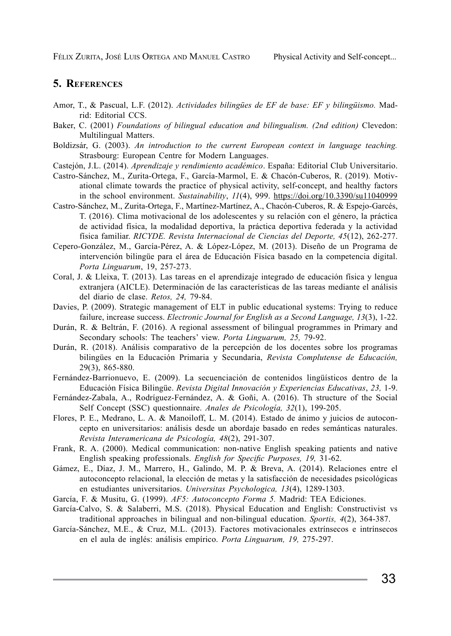## **5. References**

- Amor, T., & Pascual, L.F. (2012). *Actividades bilingües de EF de base: EF y bilingüismo.* Madrid: Editorial CCS.
- Baker, C. (2001) *Foundations of bilingual education and bilingualism. (2nd edition)* Clevedon: Multilingual Matters.
- Boldizsár, G. (2003). *An introduction to the current European context in language teaching.* Strasbourg: European Centre for Modern Languages.
- Castejón, J.L. (2014). *Aprendizaje y rendimiento académico*. España: Editorial Club Universitario.
- Castro-Sánchez, M., Zurita-Ortega, F., García-Marmol, E. & Chacón-Cuberos, R. (2019)*.* Motivational climate towards the practice of physical activity, self-concept, and healthy factors in the school environment. *Sustainability*, *11*(4), 999. https://doi.org/10.3390/su11040999
- Castro-Sánchez, M., Zurita-Ortega, F., Martínez-Martínez, A., Chacón-Cuberos, R. & Espejo-Garcés, T. (2016). Clima motivacional de los adolescentes y su relación con el género, la práctica de actividad física, la modalidad deportiva, la práctica deportiva federada y la actividad física familiar. *RICYDE. Revista Internacional de Ciencias del Deporte, 45*(12), 262-277.
- Cepero-González, M., García-Pérez, A. & López-López, M. (2013). Diseño de un Programa de intervención bilingüe para el área de Educación Física basado en la competencia digital. *Porta Linguarum*, 19, 257-273.
- Coral, J. & Lleixa, T. (2013). Las tareas en el aprendizaje integrado de educación física y lengua extranjera (AICLE). Determinación de las características de las tareas mediante el análisis del diario de clase. *Retos, 24,* 79-84.
- Davies, P. (2009). Strategic management of ELT in public educational systems: Trying to reduce failure, increase success. *Electronic Journal for English as a Second Language, 13*(3), 1-22.
- Durán, R. & Beltrán, F. (2016). A regional assessment of bilingual programmes in Primary and Secondary schools: The teachers' view. *Porta Linguarum, 25,* 79-92.
- Durán, R. (2018). Análisis comparativo de la percepción de los docentes sobre los programas bilingües en la Educación Primaria y Secundaria, *Revista Complutense de Educación,* 29(3), 865-880.
- Fernández-Barrionuevo, E. (2009). La secuenciación de contenidos lingüísticos dentro de la Educación Física Bilingüe. *Revista Digital Innovación y Experiencias Educativas*, *23,* 1-9.
- Fernández-Zabala, A., Rodríguez-Fernández, A. & Goñi, A. (2016). Th structure of the Social Self Concept (SSC) questionnaire. *Anales de Psicología, 32*(1), 199-205.
- Flores, P. E., Medrano, L. A. & Manoiloff, L. M. (2014). Estado de ánimo y juicios de autoconcepto en universitarios: análisis desde un abordaje basado en redes semánticas naturales. *Revista Interamericana de Psicología, 48*(2), 291-307.
- Frank, R. A. (2000). Medical communication: non-native English speaking patients and native English speaking professionals. *English for Specific Purposes, 19,* 31-62.
- Gámez, E., Díaz, J. M., Marrero, H., Galindo, M. P. & Breva, A. (2014). Relaciones entre el autoconcepto relacional, la elección de metas y la satisfacción de necesidades psicológicas en estudiantes universitarios. *Universitas Psychologica, 13*(4), 1289-1303.
- García, F. & Musitu, G. (1999). *AF5: Autoconcepto Forma 5.* Madrid: TEA Ediciones.
- García-Calvo, S. & Salaberri, M.S. (2018). Physical Education and English: Constructivist vs traditional approaches in bilingual and non-bilingual education. *Sportis, 4*(2), 364-387.
- García-Sánchez, M.E., & Cruz, M.L. (2013). Factores motivacionales extrínsecos e intrínsecos en el aula de inglés: análisis empírico. *Porta Linguarum, 19,* 275-297.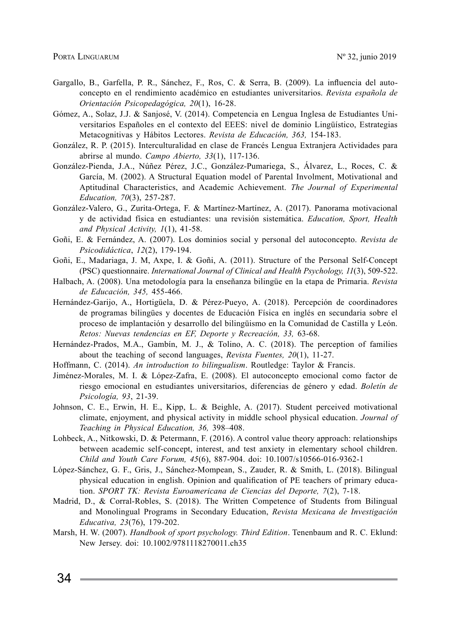- Gargallo, B., Garfella, P. R., Sánchez, F., Ros, C. & Serra, B. (2009). La influencia del autoconcepto en el rendimiento académico en estudiantes universitarios. *Revista española de Orientación Psicopedagógica, 20*(1), 16-28.
- Gómez, A., Solaz, J.J. & Sanjosé, V. (2014). Competencia en Lengua Inglesa de Estudiantes Universitarios Españoles en el contexto del EEES: nivel de dominio Lingüístico, Estrategias Metacognitivas y Hábitos Lectores. *Revista de Educación, 363,* 154-183.
- González, R. P. (2015). Interculturalidad en clase de Francés Lengua Extranjera Actividades para abrirse al mundo. *Campo Abierto, 33*(1), 117-136.
- González-Pienda, J.A., Núñez Pérez, J.C., González-Pumariega, S., Álvarez, L., Roces, C. & García, M. (2002). A Structural Equation model of Parental Involment, Motivational and Aptitudinal Characteristics, and Academic Achievement. *The Journal of Experimental Education, 70*(3), 257-287.
- González-Valero, G., Zurita-Ortega, F. & Martínez-Martínez, A. (2017). Panorama motivacional y de actividad física en estudiantes: una revisión sistemática. *Education, Sport, Health and Physical Activity, 1*(1), 41-58.
- Goñi, E. & Fernández, A. (2007). Los dominios social y personal del autoconcepto. *Revista de Psicodidáctica*, *12*(2), 179-194.
- Goñi, E., Madariaga, J. M, Axpe, I. & Goñi, A. (2011). Structure of the Personal Self-Concept (PSC) questionnaire. *International Journal of Clinical and Health Psychology, 11*(3), 509-522.
- Halbach, A. (2008). Una metodología para la enseñanza bilingüe en la etapa de Primaria. *Revista de Educación, 345,* 455-466.
- Hernández-Garijo, A., Hortigüela, D. & Pérez-Pueyo, A. (2018). Percepción de coordinadores de programas bilingües y docentes de Educación Física en inglés en secundaria sobre el proceso de implantación y desarrollo del bilingüismo en la Comunidad de Castilla y León. *Retos: Nuevas tendencias en EF, Deporte y Recreación, 33,* 63-68.
- Hernández-Prados, M.A., Gambín, M. J., & Tolino, A. C. (2018). The perception of families about the teaching of second languages, *Revista Fuentes, 20*(1), 11-27.
- Hoffmann, C. (2014). *An introduction to bilingualism*. Routledge: Taylor & Francis.
- Jiménez-Morales, M. I. & López-Zafra, E. (2008). El autoconcepto emocional como factor de riesgo emocional en estudiantes universitarios, diferencias de género y edad. *Boletín de Psicología, 93*, 21-39.
- Johnson, C. E., Erwin, H. E., Kipp, L. & Beighle, A. (2017). Student perceived motivational climate, enjoyment, and physical activity in middle school physical education. *Journal of Teaching in Physical Education, 36,* 398–408.
- Lohbeck, A., Nitkowski, D. & Petermann, F. (2016). A control value theory approach: relationships between academic self-concept, interest, and test anxiety in elementary school children. *Child and Youth Care Forum, 45*(6), 887-904. doi: 10.1007/s10566-016-9362-1
- López-Sánchez, G. F., Gris, J., Sánchez-Mompean, S., Zauder, R. & Smith, L. (2018). Bilingual physical education in english. Opinion and qualification of PE teachers of primary education. *SPORT TK: Revista Euroamericana de Ciencias del Deporte, 7*(2), 7-18.
- Madrid, D., & Corral-Robles, S. (2018). The Written Competence of Students from Bilingual and Monolingual Programs in Secondary Education, *Revista Mexicana de Investigación Educativa, 23*(76), 179-202.
- Marsh, H. W. (2007). *Handbook of sport psychology. Third Edition*. Tenenbaum and R. C. Eklund: New Jersey. doi: 10.1002/9781118270011.ch35